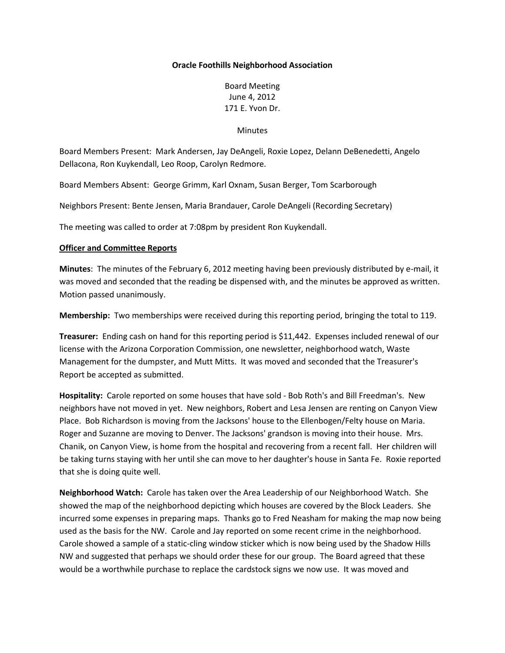## **Oracle Foothills Neighborhood Association**

Board Meeting June 4, 2012 171 E. Yvon Dr.

Minutes

Board Members Present: Mark Andersen, Jay DeAngeli, Roxie Lopez, Delann DeBenedetti, Angelo Dellacona, Ron Kuykendall, Leo Roop, Carolyn Redmore.

Board Members Absent: George Grimm, Karl Oxnam, Susan Berger, Tom Scarborough

Neighbors Present: Bente Jensen, Maria Brandauer, Carole DeAngeli (Recording Secretary)

The meeting was called to order at 7:08pm by president Ron Kuykendall.

## **Officer and Committee Reports**

**Minutes**: The minutes of the February 6, 2012 meeting having been previously distributed by e-mail, it was moved and seconded that the reading be dispensed with, and the minutes be approved as written. Motion passed unanimously.

**Membership:** Two memberships were received during this reporting period, bringing the total to 119.

**Treasurer:** Ending cash on hand for this reporting period is \$11,442. Expenses included renewal of our license with the Arizona Corporation Commission, one newsletter, neighborhood watch, Waste Management for the dumpster, and Mutt Mitts. It was moved and seconded that the Treasurer's Report be accepted as submitted.

**Hospitality:** Carole reported on some houses that have sold - Bob Roth's and Bill Freedman's. New neighbors have not moved in yet. New neighbors, Robert and Lesa Jensen are renting on Canyon View Place. Bob Richardson is moving from the Jacksons' house to the Ellenbogen/Felty house on Maria. Roger and Suzanne are moving to Denver. The Jacksons' grandson is moving into their house. Mrs. Chanik, on Canyon View, is home from the hospital and recovering from a recent fall. Her children will be taking turns staying with her until she can move to her daughter's house in Santa Fe. Roxie reported that she is doing quite well.

**Neighborhood Watch:** Carole has taken over the Area Leadership of our Neighborhood Watch. She showed the map of the neighborhood depicting which houses are covered by the Block Leaders. She incurred some expenses in preparing maps. Thanks go to Fred Neasham for making the map now being used as the basis for the NW. Carole and Jay reported on some recent crime in the neighborhood. Carole showed a sample of a static-cling window sticker which is now being used by the Shadow Hills NW and suggested that perhaps we should order these for our group. The Board agreed that these would be a worthwhile purchase to replace the cardstock signs we now use. It was moved and